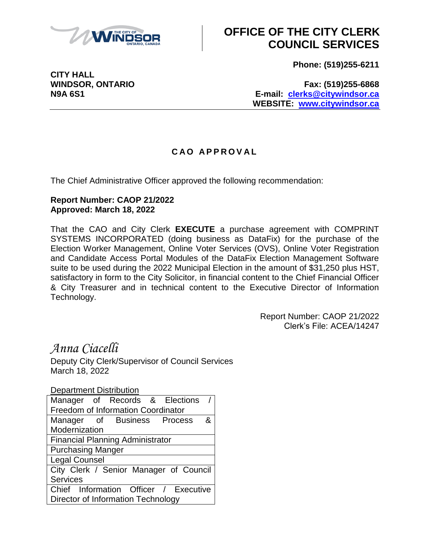

# **OFFICE OF THE CITY CLERK COUNCIL SERVICES**

**Phone: (519)255-6211**

**CITY HALL**

**WINDSOR, ONTARIO Fax: (519)255-6868 N9A 6S1 E-mail: [clerks@citywindsor.ca](mailto:clerks@citywindsor.ca) WEBSITE: [www.citywindsor.ca](http://www.citywindsor.ca/)**

### **C A O A P P R O V A L**

The Chief Administrative Officer approved the following recommendation:

#### **Report Number: CAOP 21/2022 Approved: March 18, 2022**

That the CAO and City Clerk **EXECUTE** a purchase agreement with COMPRINT SYSTEMS INCORPORATED (doing business as DataFix) for the purchase of the Election Worker Management, Online Voter Services (OVS), Online Voter Registration and Candidate Access Portal Modules of the DataFix Election Management Software suite to be used during the 2022 Municipal Election in the amount of \$31,250 plus HST, satisfactory in form to the City Solicitor, in financial content to the Chief Financial Officer & City Treasurer and in technical content to the Executive Director of Information Technology.

> Report Number: CAOP 21/2022 Clerk's File: ACEA/14247

## *Anna Ciacelli*

Deputy City Clerk/Supervisor of Council Services March 18, 2022

Department Distribution Manager of Records & Elections Freedom of Information Coordinator Manager of Business Process & Modernization Financial Planning Administrator Purchasing Manger Legal Counsel City Clerk / Senior Manager of Council **Services** Chief Information Officer / Executive Director of Information Technology